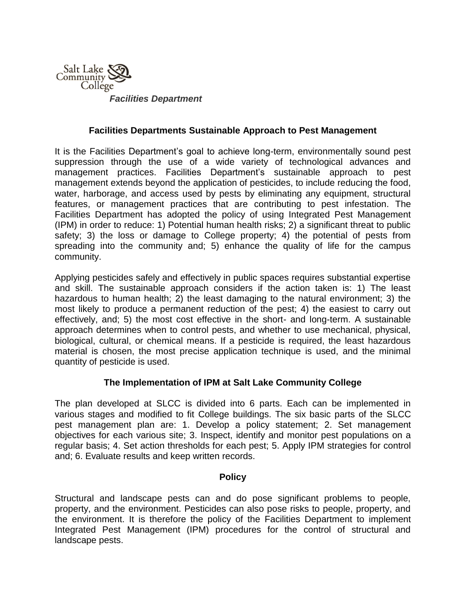

*Facilities Department*

### **Facilities Departments Sustainable Approach to Pest Management**

It is the Facilities Department's goal to achieve long-term, environmentally sound pest suppression through the use of a wide variety of technological advances and management practices. Facilities Department's sustainable approach to pest management extends beyond the application of pesticides, to include reducing the food, water, harborage, and access used by pests by eliminating any equipment, structural features, or management practices that are contributing to pest infestation. The Facilities Department has adopted the policy of using Integrated Pest Management (IPM) in order to reduce: 1) Potential human health risks; 2) a significant threat to public safety; 3) the loss or damage to College property; 4) the potential of pests from spreading into the community and; 5) enhance the quality of life for the campus community.

Applying pesticides safely and effectively in public spaces requires substantial expertise and skill. The sustainable approach considers if the action taken is: 1) The least hazardous to human health; 2) the least damaging to the natural environment; 3) the most likely to produce a permanent reduction of the pest; 4) the easiest to carry out effectively, and; 5) the most cost effective in the short- and long-term. A sustainable approach determines when to control pests, and whether to use mechanical, physical, biological, cultural, or chemical means. If a pesticide is required, the least hazardous material is chosen, the most precise application technique is used, and the minimal quantity of pesticide is used.

## **The Implementation of IPM at Salt Lake Community College**

The plan developed at SLCC is divided into 6 parts. Each can be implemented in various stages and modified to fit College buildings. The six basic parts of the SLCC pest management plan are: 1. Develop a policy statement; 2. Set management objectives for each various site; 3. Inspect, identify and monitor pest populations on a regular basis; 4. Set action thresholds for each pest; 5. Apply IPM strategies for control and; 6. Evaluate results and keep written records.

### **Policy**

Structural and landscape pests can and do pose significant problems to people, property, and the environment. Pesticides can also pose risks to people, property, and the environment. It is therefore the policy of the Facilities Department to implement Integrated Pest Management (IPM) procedures for the control of structural and landscape pests.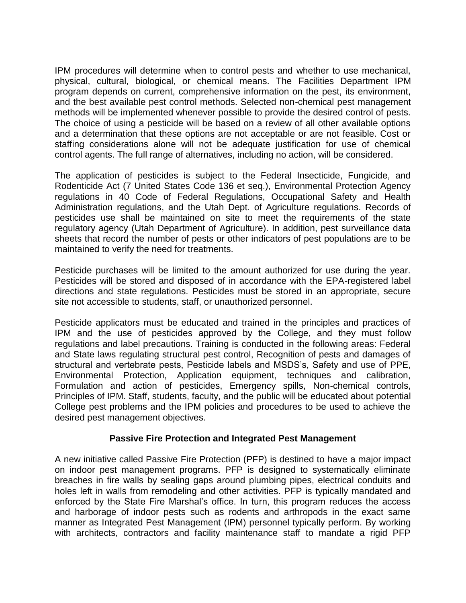IPM procedures will determine when to control pests and whether to use mechanical, physical, cultural, biological, or chemical means. The Facilities Department IPM program depends on current, comprehensive information on the pest, its environment, and the best available pest control methods. Selected non-chemical pest management methods will be implemented whenever possible to provide the desired control of pests. The choice of using a pesticide will be based on a review of all other available options and a determination that these options are not acceptable or are not feasible. Cost or staffing considerations alone will not be adequate justification for use of chemical control agents. The full range of alternatives, including no action, will be considered.

The application of pesticides is subject to the Federal Insecticide, Fungicide, and Rodenticide Act (7 United States Code 136 et seq.), Environmental Protection Agency regulations in 40 Code of Federal Regulations, Occupational Safety and Health Administration regulations, and the Utah Dept. of Agriculture regulations. Records of pesticides use shall be maintained on site to meet the requirements of the state regulatory agency (Utah Department of Agriculture). In addition, pest surveillance data sheets that record the number of pests or other indicators of pest populations are to be maintained to verify the need for treatments.

Pesticide purchases will be limited to the amount authorized for use during the year. Pesticides will be stored and disposed of in accordance with the EPA-registered label directions and state regulations. Pesticides must be stored in an appropriate, secure site not accessible to students, staff, or unauthorized personnel.

Pesticide applicators must be educated and trained in the principles and practices of IPM and the use of pesticides approved by the College, and they must follow regulations and label precautions. Training is conducted in the following areas: Federal and State laws regulating structural pest control, Recognition of pests and damages of structural and vertebrate pests, Pesticide labels and MSDS's, Safety and use of PPE, Environmental Protection, Application equipment, techniques and calibration, Formulation and action of pesticides, Emergency spills, Non-chemical controls, Principles of IPM. Staff, students, faculty, and the public will be educated about potential College pest problems and the IPM policies and procedures to be used to achieve the desired pest management objectives.

## **Passive Fire Protection and Integrated Pest Management**

A new initiative called Passive Fire Protection (PFP) is destined to have a major impact on indoor pest management programs. PFP is designed to systematically eliminate breaches in fire walls by sealing gaps around plumbing pipes, electrical conduits and holes left in walls from remodeling and other activities. PFP is typically mandated and enforced by the State Fire Marshal's office. In turn, this program reduces the access and harborage of indoor pests such as rodents and arthropods in the exact same manner as Integrated Pest Management (IPM) personnel typically perform. By working with architects, contractors and facility maintenance staff to mandate a rigid PFP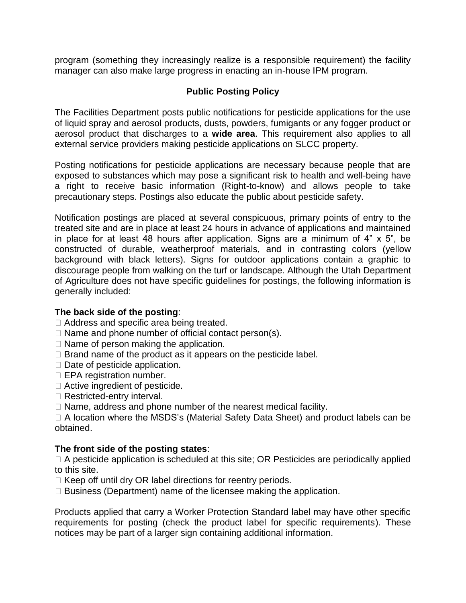program (something they increasingly realize is a responsible requirement) the facility manager can also make large progress in enacting an in-house IPM program.

# **Public Posting Policy**

The Facilities Department posts public notifications for pesticide applications for the use of liquid spray and aerosol products, dusts, powders, fumigants or any fogger product or aerosol product that discharges to a **wide area**. This requirement also applies to all external service providers making pesticide applications on SLCC property.

Posting notifications for pesticide applications are necessary because people that are exposed to substances which may pose a significant risk to health and well-being have a right to receive basic information (Right-to-know) and allows people to take precautionary steps. Postings also educate the public about pesticide safety.

Notification postings are placed at several conspicuous, primary points of entry to the treated site and are in place at least 24 hours in advance of applications and maintained in place for at least 48 hours after application. Signs are a minimum of 4" x 5", be constructed of durable, weatherproof materials, and in contrasting colors (yellow background with black letters). Signs for outdoor applications contain a graphic to discourage people from walking on the turf or landscape. Although the Utah Department of Agriculture does not have specific guidelines for postings, the following information is generally included:

## **The back side of the posting**:

- □ Address and specific area being treated.
- $\Box$  Name and phone number of official contact person(s).
- $\Box$  Name of person making the application.
- $\Box$  Brand name of the product as it appears on the pesticide label.
- $\Box$  Date of pesticide application.
- $\Box$  EPA registration number.
- □ Active ingredient of pesticide.
- □ Restricted-entry interval.
- $\Box$  Name, address and phone number of the nearest medical facility.

 A location where the MSDS's (Material Safety Data Sheet) and product labels can be obtained.

# **The front side of the posting states**:

 $\Box$  A pesticide application is scheduled at this site; OR Pesticides are periodically applied to this site.

- $\Box$  Keep off until dry OR label directions for reentry periods.
- $\Box$  Business (Department) name of the licensee making the application.

Products applied that carry a Worker Protection Standard label may have other specific requirements for posting (check the product label for specific requirements). These notices may be part of a larger sign containing additional information.